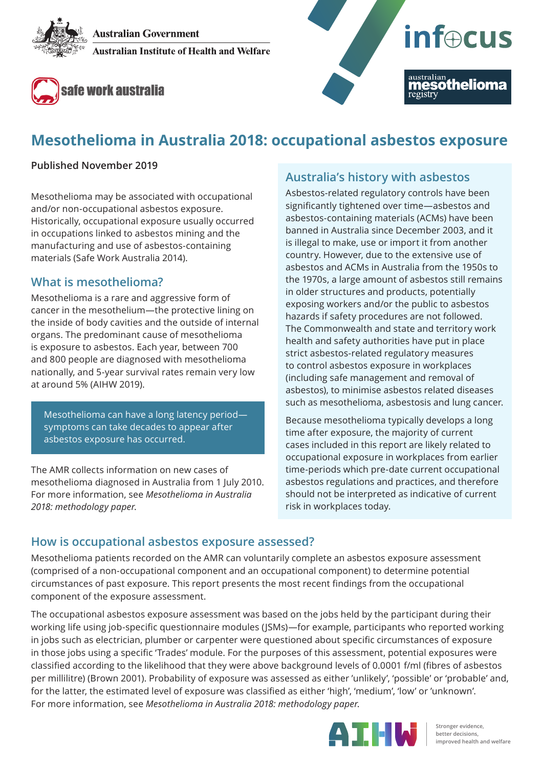**Australian Government Australian Institute of Health and Welfare** 





# **Mesothelioma in Australia 2018: occupational asbestos exposure**

#### **Published November 2019**

Mesothelioma may be associated with occupational and/or non-occupational asbestos exposure. Historically, occupational exposure usually occurred in occupations linked to asbestos mining and the manufacturing and use of asbestos-containing materials (Safe Work Australia 2014).

## **What is mesothelioma?**

Mesothelioma is a rare and aggressive form of cancer in the mesothelium—the protective lining on the inside of body cavities and the outside of internal organs. The predominant cause of mesothelioma is exposure to asbestos. Each year, between 700 and 800 people are diagnosed with mesothelioma nationally, and 5-year survival rates remain very low at around 5% (AIHW 2019).

Mesothelioma can have a long latency period symptoms can take decades to appear after asbestos exposure has occurred.

The AMR collects information on new cases of mesothelioma diagnosed in Australia from 1 July 2010. For more information, see *Mesothelioma in Australia 2018: methodology paper*.

# **Australia's history with asbestos**

Asbestos-related regulatory controls have been significantly tightened over time—asbestos and asbestos-containing materials (ACMs) have been banned in Australia since December 2003, and it is illegal to make, use or import it from another country. However, due to the extensive use of asbestos and ACMs in Australia from the 1950s to the 1970s, a large amount of asbestos still remains in older structures and products, potentially exposing workers and/or the public to asbestos hazards if safety procedures are not followed. The Commonwealth and state and territory work health and safety authorities have put in place strict asbestos-related regulatory measures to control asbestos exposure in workplaces (including safe management and removal of asbestos), to minimise asbestos related diseases such as mesothelioma, asbestosis and lung cancer.

Because mesothelioma typically develops a long time after exposure, the majority of current cases included in this report are likely related to occupational exposure in workplaces from earlier time-periods which pre-date current occupational asbestos regulations and practices, and therefore should not be interpreted as indicative of current risk in workplaces today.

### **How is occupational asbestos exposure assessed?**

Mesothelioma patients recorded on the AMR can voluntarily complete an asbestos exposure assessment (comprised of a non-occupational component and an occupational component) to determine potential circumstances of past exposure. This report presents the most recent findings from the occupational component of the exposure assessment.

The occupational asbestos exposure assessment was based on the jobs held by the participant during their working life using job-specific questionnaire modules (JSMs)—for example, participants who reported working in jobs such as electrician, plumber or carpenter were questioned about specific circumstances of exposure in those jobs using a specific 'Trades' module. For the purposes of this assessment, potential exposures were classified according to the likelihood that they were above background levels of 0.0001 f/ml (fibres of asbestos per millilitre) (Brown 2001). Probability of exposure was assessed as either 'unlikely', 'possible' or 'probable' and, for the latter, the estimated level of exposure was classified as either 'high', 'medium', 'low' or 'unknown'. For more information, see *Mesothelioma in Australia 2018: methodology paper*.

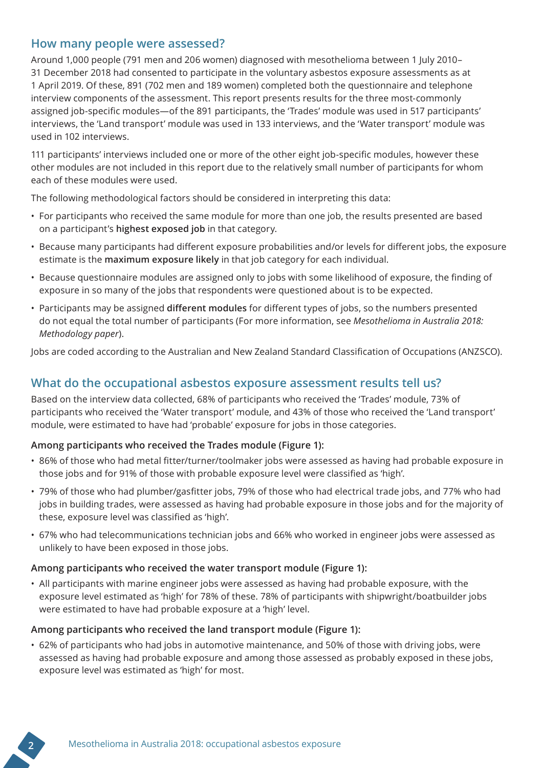## **How many people were assessed?**

Around 1,000 people (791 men and 206 women) diagnosed with mesothelioma between 1 July 2010– 31 December 2018 had consented to participate in the voluntary asbestos exposure assessments as at 1 April 2019. Of these, 891 (702 men and 189 women) completed both the questionnaire and telephone interview components of the assessment. This report presents results for the three most-commonly assigned job-specific modules—of the 891 participants, the 'Trades' module was used in 517 participants' interviews, the 'Land transport' module was used in 133 interviews, and the 'Water transport' module was used in 102 interviews.

111 participants' interviews included one or more of the other eight job-specific modules, however these other modules are not included in this report due to the relatively small number of participants for whom each of these modules were used.

The following methodological factors should be considered in interpreting this data:

- For participants who received the same module for more than one job, the results presented are based on a participant's **highest exposed job** in that category.
- Because many participants had different exposure probabilities and/or levels for different jobs, the exposure estimate is the **maximum exposure likely** in that job category for each individual.
- Because questionnaire modules are assigned only to jobs with some likelihood of exposure, the finding of exposure in so many of the jobs that respondents were questioned about is to be expected.
- Participants may be assigned **different modules** for different types of jobs, so the numbers presented do not equal the total number of participants (For more information, see *Mesothelioma in Australia 2018: Methodology paper*).

Jobs are coded according to the Australian and New Zealand Standard Classification of Occupations (ANZSCO).

# **What do the occupational asbestos exposure assessment results tell us?**

Based on the interview data collected, 68% of participants who received the 'Trades' module, 73% of participants who received the 'Water transport' module, and 43% of those who received the 'Land transport' module, were estimated to have had 'probable' exposure for jobs in those categories.

#### **Among participants who received the Trades module (Figure 1):**

- 86% of those who had metal fitter/turner/toolmaker jobs were assessed as having had probable exposure in those jobs and for 91% of those with probable exposure level were classified as 'high'.
- 79% of those who had plumber/gasfitter jobs, 79% of those who had electrical trade jobs, and 77% who had jobs in building trades, were assessed as having had probable exposure in those jobs and for the majority of these, exposure level was classified as 'high'.
- 67% who had telecommunications technician jobs and 66% who worked in engineer jobs were assessed as unlikely to have been exposed in those jobs.

#### **Among participants who received the water transport module (Figure 1):**

• All participants with marine engineer jobs were assessed as having had probable exposure, with the exposure level estimated as 'high' for 78% of these. 78% of participants with shipwright/boatbuilder jobs were estimated to have had probable exposure at a 'high' level.

#### **Among participants who received the land transport module (Figure 1):**

• 62% of participants who had jobs in automotive maintenance, and 50% of those with driving jobs, were assessed as having had probable exposure and among those assessed as probably exposed in these jobs, exposure level was estimated as 'high' for most.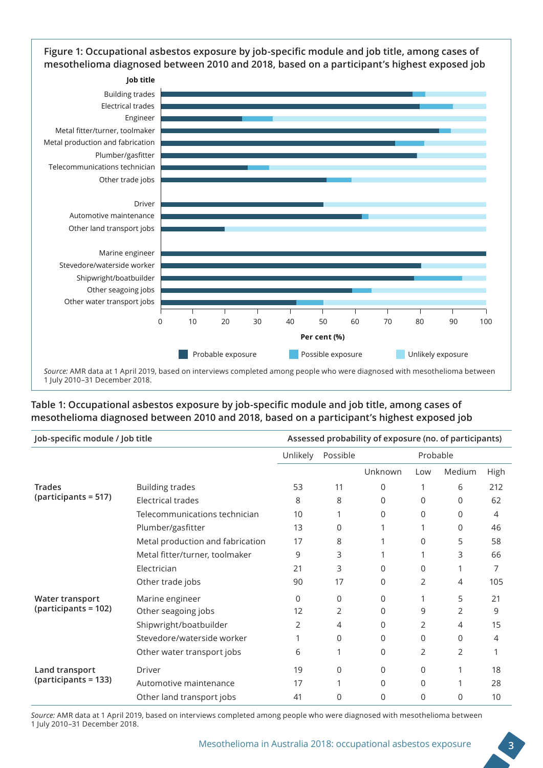**Figure 1: Occupational asbestos exposure by job-specific module and job title, among cases of mesothelioma diagnosed between 2010 and 2018, based on a participant's highest exposed job**



#### **Table 1: Occupational asbestos exposure by job-specific module and job title, among cases of mesothelioma diagnosed between 2010 and 2018, based on a participant's highest exposed job**

| Job-specific module / Job title               |                                  | Assessed probability of exposure (no. of participants) |          |          |          |          |      |
|-----------------------------------------------|----------------------------------|--------------------------------------------------------|----------|----------|----------|----------|------|
|                                               |                                  | Unlikely                                               | Possible | Probable |          |          |      |
|                                               |                                  |                                                        |          | Unknown  | Low      | Medium   | High |
| <b>Trades</b><br>(participants = 517)         | <b>Building trades</b>           | 53                                                     | 11       | 0        |          | 6        | 212  |
|                                               | Electrical trades                | 8                                                      | 8        | 0        | 0        | 0        | 62   |
|                                               | Telecommunications technician    | 10                                                     |          | 0        | $\Omega$ | 0        | 4    |
|                                               | Plumber/gasfitter                | 13                                                     | $\Omega$ |          |          | $\Omega$ | 46   |
|                                               | Metal production and fabrication | 17                                                     | 8        |          | 0        | 5        | 58   |
|                                               | Metal fitter/turner, toolmaker   | 9                                                      | 3        |          |          | 3        | 66   |
|                                               | Electrician                      | 21                                                     | 3        | 0        | 0        |          | 7    |
|                                               | Other trade jobs                 | 90                                                     | 17       | 0        | 2        | 4        | 105  |
| Water transport<br>$\mu$ (participants = 102) | Marine engineer                  | $\Omega$                                               | $\Omega$ | 0        |          | 5        | 21   |
|                                               | Other seagoing jobs              | 12                                                     | 2        | 0        | 9        | 2        | 9    |
|                                               | Shipwright/boatbuilder           | 2                                                      | 4        | 0        | 2        | 4        | 15   |
|                                               | Stevedore/waterside worker       |                                                        | $\Omega$ | 0        | 0        | $\Omega$ | 4    |
|                                               | Other water transport jobs       | 6                                                      |          | 0        | 2        | 2        |      |
| Land transport<br>(participants = 133)        | Driver                           | 19                                                     | $\Omega$ | 0        | 0        |          | 18   |
|                                               | Automotive maintenance           | 17                                                     | 1        | 0        | 0        |          | 28   |
|                                               | Other land transport jobs        | 41                                                     | $\Omega$ | 0        | 0        | 0        | 10   |

*Source:* AMR data at 1 April 2019, based on interviews completed among people who were diagnosed with mesothelioma between 1 July 2010–31 December 2018.